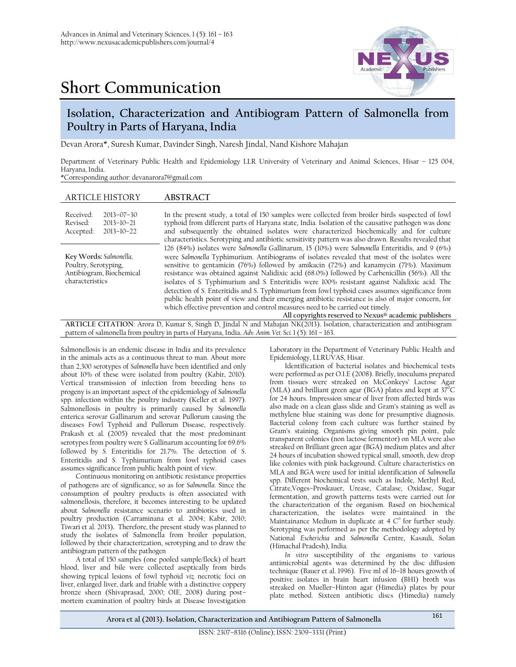



## **Isolation, Characterization and Antibiogram Pattern of Salmonella from Poultry in Parts of Haryana, India**

Devan Arora\*, Suresh Kumar, Davinder Singh, Naresh Jindal, Nand Kishore Mahajan

Department of Veterinary Public Health and Epidemiology LLR University of Veterinary and Animal Sciences, Hisar – 125 004, Haryana, India.

\*Corresponding author: devanarora7@gmail.com

| <b>ARTICLE HISTORY</b>                                                                         | <b>ABSTRACT</b>                                                                                                                                                                                                                                                                                                                                                                                                                                                                                                                                                                                                                                                                                                                                                                                                                                    |
|------------------------------------------------------------------------------------------------|----------------------------------------------------------------------------------------------------------------------------------------------------------------------------------------------------------------------------------------------------------------------------------------------------------------------------------------------------------------------------------------------------------------------------------------------------------------------------------------------------------------------------------------------------------------------------------------------------------------------------------------------------------------------------------------------------------------------------------------------------------------------------------------------------------------------------------------------------|
| Received:<br>$2013 - 07 - 30$<br>Revised:<br>$2013 - 10 - 21$<br>$2013 - 10 - 22$<br>Accepted: | In the present study, a total of 150 samples were collected from broiler birds suspected of fowl<br>typhoid from different parts of Haryana state, India. Isolation of the causative pathogen was done<br>and subsequently the obtained isolates were characterized biochemically and for culture<br>characteristics. Serotyping and antibiotic sensitivity pattern was also drawn. Results revealed that                                                                                                                                                                                                                                                                                                                                                                                                                                          |
| Key Words: Salmonella,<br>Poultry, Serotyping,<br>Antibiogram, Biochemical<br>characteristics  | 126 (84%) isolates were Salmonella Gallinarum, 15 (10%) were Salmonella Enteritidis, and 9 (6%)<br>were Salmonella Typhimurium. Antibiograms of isolates revealed that most of the isolates were<br>sensitive to gentamicin (76%) followed by amikacin (72%) and kanamycin (71%). Maximum<br>resistance was obtained against Nalidixic acid (68.0%) followed by Carbenicillin (56%). All the<br>isolates of S. Typhimurium and S. Enteritidis were 100% resistant against Nalidixic acid. The<br>detection of S. Enteritidis and S. Typhimurium from fowl typhoid cases assumes significance from<br>public health point of view and their emerging antibiotic resistance is also of major concern, for<br>which effective prevention and control measures need to be carried out timely.<br>All copyrights reserved to Nexus® academic publishers |
|                                                                                                | ADTICLE CITATION: Arene D. Kumer & Singh D. Jindel N and Meheim NIV(2012). Jegletian ehemotorization and antihiagram                                                                                                                                                                                                                                                                                                                                                                                                                                                                                                                                                                                                                                                                                                                               |

**ARTICLE CITATION**: Arora D, Kumar S, Singh D, Jindal N and Mahajan NK(2013). Isolation, characterization and antibiogram pattern of salmonella from poultry in parts of Haryana, India**.** *Adv. Anim. Vet. Sci.*1 (5): 161 – 163.

Salmonellosis is an endemic disease in India and its prevalence in the animals acts as a continuous threat to man. About more than 2,300 serotypes of *Salmonella* have been identified and only about 10% of these were isolated from poultry (Kabir, 2010). Vertical transmission of infection from breeding hens to progeny is an important aspect of the epidemiology of *Salmonella* spp. infection within the poultry industry (Keller et al. 1997). Salmonellosis in poultry is primarily caused by *Salmonella* enterica serovar Gallinarum and serovar Pullorum causing the diseases Fowl Typhoid and Pullorum Disease, respectively. Prakash et al*.* (2005) revealed that the most predominant serotypes from poultry were *S. Gallinarum accounting for 69.6%* followed by *S.* Enteritidis for 21.7%. The detection of *S*. Enteritidis and *S*. Typhimurium from fowl typhoid cases assumes significance from public health point of view.

Continuous monitoring on antibiotic resistance properties of pathogens are of significance, so as for *Salmonella*. Since the consumption of poultry products is often associated with salmonellosis, therefore, it becomes interesting to be updated about *Salmonella* resistance scenario to antibiotics used in poultry production (Carraminana et al. 2004; Kabir, 2010; Tiwari et al. 2013)**.** Therefore, the present study was planned to study the isolates of Salmonella from broiler population, followed by their characterization, serotyping and to draw the antibiogram pattern of the pathogen

A total of 150 samples (one pooled sample/flock) of heart blood, liver and bile were collected aseptically from birds showing typical lesions of fowl typhoid *viz.* necrotic foci on liver, enlarged liver, dark and friable with a distinctive coppery bronze sheen (Shivaprasad, 2000; OIE, 2008) during post– mortem examination of poultry birds at Disease Investigation

Laboratory in the Department of Veterinary Public Health and Epidemiology, LLRUVAS, Hisar.

Identification of bacterial isolates and biochemical tests were performed as per O.I.E (2008). Briefly, inoculums prepared from tissues were streaked on McConkeys' Lactose Agar (MLA) and brilliant green agar (BGA) plates and kept at  $37^{\circ}$ C for 24 hours. Impression smear of liver from affected birds was also made on a clean glass slide and Gram's staining as well as methylene blue staining was done for presumptive diagnosis. Bacterial colony from each culture was further stained by Gram's staining. Organisms giving smooth pin point, pale transparent colonies (non lactose fermentor) on MLA were also streaked on Brilliant green agar (BGA) medium plates and after 24 hours of incubation showed typical small, smooth, dew drop like colonies with pink background. Culture characteristics on MLA and BGA were used for initial identification of *Salmonella*  spp. Different biochemical tests such as Indole, Methyl Red, Citrate,Voges–Proskauer, Urease, Catalase, Oxidase, Sugar fermentation, and growth patterns tests were carried out for the characterization of the organism. Based on biochemical characterization, the isolates were maintained in the Maintainance Medium in duplicate at  $4 \, \text{C}^\circ$  for further study. Serotyping was performed as per the methodology adopted by National *Escherichia* and *Salmonella* Centre, Kasauli, Solan (Himachal Pradesh), India.

*In vitro* susceptibility of the organisms to various antimicrobial agents was determined by the disc diffusion technique (Bauer et al. 1996). Five ml of 16–18 hours growth of positive isolates in brain heart infusion (BHI) broth was streaked on Mueller–Hinton agar (Himedia) plates by pour plate method. Sixteen antibiotic discs (Himedia) namely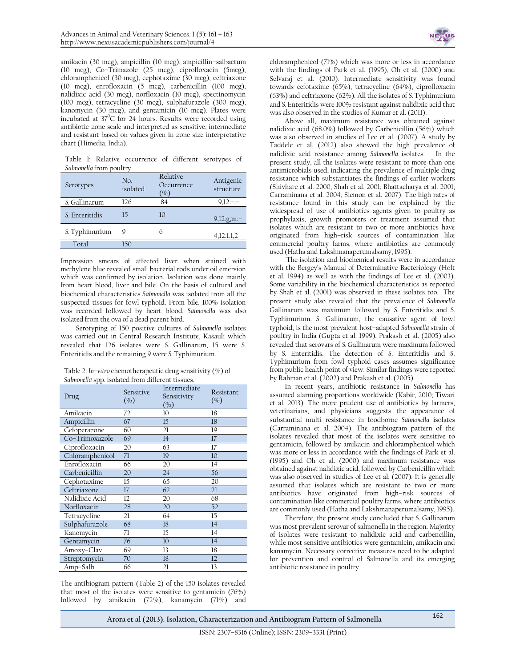amikacin (30 mcg), ampicillin (10 mcg), ampicillin–salbactum (10 mcg), Co–Trimazole (25 mcg), ciprofloxacin (5mcg), chloramphenicol (30 mcg), cephotaxime (30 mcg), ceftriaxone (10 mcg), enrofloxacin (5 mcg), carbenicillin (100 mcg), nalidixic acid (30 mcg), norfloxacin (10 mcg), spectinomycin (100 mcg), tetracycline (30 mcg), sulphafurazole (300 mcg), kanomycin (30 mcg), and gentamicin (10 mcg). Plates were incubated at 37°C for 24 hours. Results were recorded using antibiotic zone scale and interpreted as sensitive, intermediate and resistant based on values given in zone size interpretative chart (Himedia, India).

Table 1: Relative occurrence of different serotypes of *Salmonella* from poultry

| Serotypes      | No.<br>isolated | Relative<br>Occurrence<br>$\gamma_{0}$ | Antigenic<br>structure |
|----------------|-----------------|----------------------------------------|------------------------|
| S. Gallinarum  | 126             | 84                                     | $9,12:-:-$             |
| S. Enteritidis | 15              | 10                                     | $9,12$ :g,m:-          |
| S. Typhimurium | Q               | 6                                      | 4,12:1:1,2             |
| Total          | 50              |                                        |                        |

Impression smears of affected liver when stained with methylene blue revealed small bacterial rods under oil emersion which was confirmed by isolation. Isolation was done mainly from heart blood, liver and bile. On the basis of cultural and biochemical characteristics *Salmonella* was isolated from all the suspected tissues for fowl typhoid. From bile, 100% isolation was recorded followed by heart blood. *Salmonella* was also isolated from the ova of a dead parent bird.

Serotyping of 150 positive cultures of *Salmonella* isolates was carried out in Central Research Institute, Kasauli which revealed that 126 isolates were *S.* Gallinarum, 15 were *S.*  Enteritidis and the remaining 9 were *S.* Typhimurium.

Table 2: *In–vitro* chemotherapeutic drug sensitivity (%) of *Salmonella* spp. isolated from different tissues.

| Drug            | Sensitive<br>(%) | Intermediate<br>Sensitivity<br>(%) | Resistant<br>(%) |
|-----------------|------------------|------------------------------------|------------------|
| Amikacin        | 72               | 10                                 | 18               |
| Ampicillin      | 67               | 15                                 | 18               |
| Cefoperazone    | 60               | 21                                 | 19               |
| Co-Trimoxazole  | 69               | 14                                 | 17               |
| Ciprofloxacin   | 20               | 63                                 | 17               |
| Chloramphenicol | 71               | 19                                 | 10 <sup>°</sup>  |
| Enrofloxacin    | 66               | 20                                 | 14               |
| Carbenicillin   | 20               | 24                                 | 56               |
| Cephotaxime     | 15               | 65                                 | 20               |
| Ceftriaxone     | 17               | 62                                 | 21               |
| Nalidixic Acid  | 12               | 20                                 | 68               |
| Norfloxacin     | 28               | 20                                 | 52               |
| Tetracycline    | 21               | 64                                 | 15               |
| Sulphafurazole  | 68               | 18                                 | 14               |
| Kanomycin       | 71               | 15                                 | 14               |
| Gentamycin      | 76               | 10                                 | 14               |
| Amoxy-Clav      | 69               | 13                                 | 18               |
| Streptomycin    | 70               | 18                                 | 12               |
| Amp-Salb        | 66               | 21                                 | 13               |

The antibiogram pattern (Table 2) of the 150 isolates revealed that most of the isolates were sensitive to gentamicin (76%) followed by amikacin (72%), kanamycin (71%) and



chloramphenicol (71%) which was more or less in accordance with the findings of Park et al. (1995), Oh et al. (2000) and Selvaraj et al. (2010)*.* Intermediate sensitivity was found towards cefotaxime (65%), tetracycline (64%), ciprofloxacin (63%) and ceftriaxone (62%). All the isolates of *S.* Typhimurium and *S.* Enteritidis were 100% resistant against nalidixic acid that was also observed in the studies of Kumar et al. (2011).

Above all, maximum resistance was obtained against nalidixic acid (68.0%) followed by Carbenicillin (56%) which was also observed in studies of Lee et al. (2007). A study by Taddele et al. (2012) also showed the high prevalence of nalidixic acid resistance among *Salmonella* isolates. In the present study, all the isolates were resistant to more than one antimicrobials used, indicating the prevalence of multiple drug resistance which substantiates the findings of earlier workers (Shivhare et al. 2000; Shah et al. 2001; Bhattacharya et al. 2001; Carraminana et al. 2004; Siemon et al. 2007). The high rates of resistance found in this study can be explained by the widespread of use of antibiotics agents given to poultry as prophylaxis, growth promoters or treatment assumed that isolates which are resistant to two or more antibiotics have originated from high–risk sources of contamination like commercial poultry farms, where antibiotics are commonly used (Hatha and Lakshmanaperumalsamy, 1995).

The isolation and biochemical results were in accordance with the Bergey's Manual of Determinative Bacteriology (Holt et al. 1994) as well as with the findings of Lee et al. (2003). Some variability in the biochemical characteristics as reported by Shah et al. (2001) was observed in these isolates too. The present study also revealed that the prevalence of *Salmonella*  Gallinarum was maximum followed by *S.* Enteritidis and *S.*  Typhimurium. *S*. Gallinarum, the causative agent of fowl typhoid, is the most prevalent host–adapted *Salmonella* strain of poultry in India (Gupta et al. 1999). Prakash et al. (2005) also revealed that serovars of *S.* Gallinarum were maximum followed by *S.* Enteritidis. The detection of *S*. Enteritidis and *S*. Typhimurium from fowl typhoid cases assumes significance from public health point of view. Similar findings were reported by Rahman et al. (2002) and Prakash et al. (2005).

In recent years, antibiotic resistance in *Salmonella* has assumed alarming proportions worldwide (Kabir, 2010; Tiwari et al. 2013). The more prudent use of antibiotics by farmers, veterinarians, and physicians suggests the appearance of substantial multi resistance in foodborne *Salmonella* isolates (Carraminana et al. 2004). The antibiogram pattern of the isolates revealed that most of the isolates were sensitive to gentamicin, followed by amikacin and chloramphenicol which was more or less in accordance with the findings of Park et al. (1995) and Oh et al. (2000) and maximum resistance was obtained against nalidixic acid, followed by Carbenicillin which was also observed in studies of Lee et al. (2007). It is generally assumed that isolates which are resistant to two or more antibiotics have originated from high–risk sources of contamination like commercial poultry farms, where antibiotics are commonly used (Hatha and Lakshmanaperumalsamy, 1995).

Therefore, the present study concluded that *S.* Gallinarum was most prevalent serovar of salmonella in the region. Majority of isolates were resistant to nalidixic acid and carbencillin, while most sensitive antibiotics were gentamicin, amikacin and kanamycin. Necessary corrective measures need to be adapted for prevention and control of Salmonella and its emerging antibiotic resistance in poultry

**Arora et al (2013). Isolation, Characterization and Antibiogram Pattern of Salmonella** <sup>162</sup>